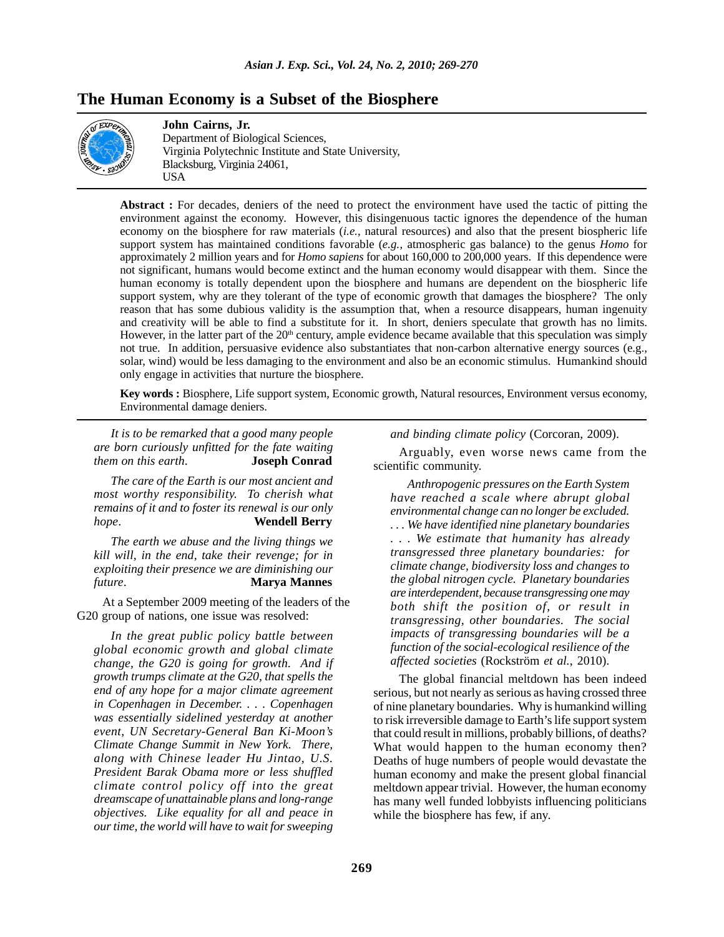# **The Human Economy is a Subset of the Biosphere**



## **John Cairns, Jr.**

Department of Biological Sciences, Virginia Polytechnic Institute and State University, Blacksburg, Virginia 24061, USA

**Abstract :** For decades, deniers of the need to protect the environment have used the tactic of pitting the environment against the economy. However, this disingenuous tactic ignores the dependence of the human economy on the biosphere for raw materials (*i.e.*, natural resources) and also that the present biospheric life support system has maintained conditions favorable (*e.g.*, atmospheric gas balance) to the genus *Homo* for approximately 2 million years and for *Homo sapiens* for about 160,000 to 200,000 years. If this dependence were not significant, humans would become extinct and the human economy would disappear with them. Since the human economy is totally dependent upon the biosphere and humans are dependent on the biospheric life support system, why are they tolerant of the type of economic growth that damages the biosphere? The only reason that has some dubious validity is the assumption that, when a resource disappears, human ingenuity and creativity will be able to find a substitute for it. In short, deniers speculate that growth has no limits. However, in the latter part of the  $20<sup>th</sup>$  century, ample evidence became available that this speculation was simply not true. In addition, persuasive evidence also substantiates that non-carbon alternative energy sources (e.g., solar, wind) would be less damaging to the environment and also be an economic stimulus. Humankind should only engage in activities that nurture the biosphere.

**Key words :** Biosphere, Life support system, Economic growth, Natural resources, Environment versus economy, Environmental damage deniers.

*It is to be remarked that a good many people are born curiously unfitted for the fate waiting them on this earth*. **Joseph Conrad**

*The care of the Earth is our most ancient and most worthy responsibility. To cherish what remains of it and to foster its renewal is our only hope*. **Wendell Berry**

*The earth we abuse and the living things we kill will, in the end, take their revenge; for in exploiting their presence we are diminishing our future*. **Marya Mannes**

At a September 2009 meeting of the leaders of the G20 group of nations, one issue was resolved:

*In the great public policy battle between global economic growth and global climate change, the G20 is going for growth. And if growth trumps climate at the G20, that spells the end of any hope for a major climate agreement in Copenhagen in December. . . . Copenhagen was essentially sidelined yesterday at another event, UN Secretary-General Ban Ki-Moon's Climate Change Summit in New York. There, along with Chinese leader Hu Jintao, U.S. President Barak Obama more or less shuffled climate control policy off into the great dreamscape of unattainable plans and long-range objectives. Like equality for all and peace in our time, the world will have to wait for sweeping* *and binding climate policy* (Corcoran, 2009).

Arguably, even worse news came from the scientific community.

*Anthropogenic pressures on the Earth System have reached a scale where abrupt global environmental change can no longer be excluded. . . . We have identified nine planetary boundaries . . . We estimate that humanity has already transgressed three planetary boundaries: for climate change, biodiversity loss and changes to the global nitrogen cycle. Planetary boundaries are interdependent, because transgressing one may both shift the position of, or result in transgressing, other boundaries. The social impacts of transgressing boundaries will be a function of the social-ecological resilience of the affected societies* (Rockström *et al.*, 2010).

The global financial meltdown has been indeed serious, but not nearly as serious as having crossed three of nine planetary boundaries. Why is humankind willing to risk irreversible damage to Earth's life support system that could result in millions, probably billions, of deaths? What would happen to the human economy then? Deaths of huge numbers of people would devastate the human economy and make the present global financial meltdown appear trivial. However, the human economy has many well funded lobbyists influencing politicians while the biosphere has few, if any.